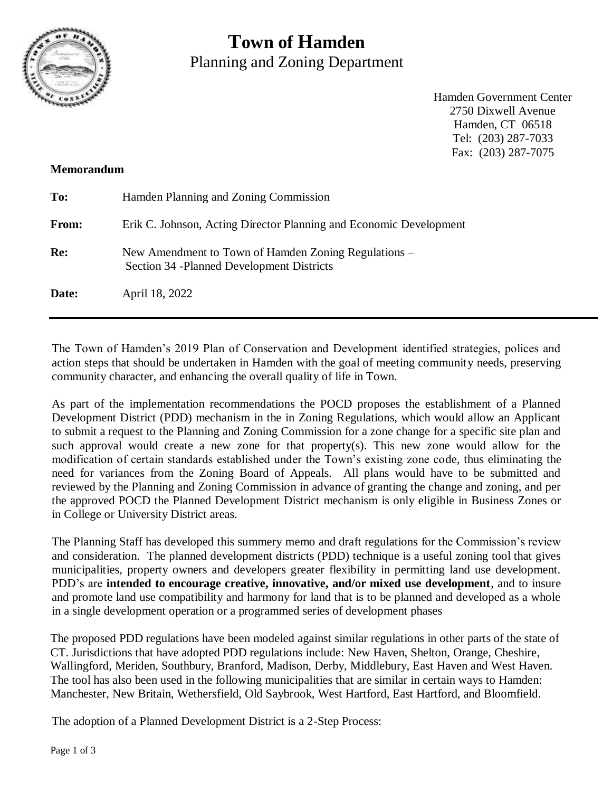

# **Town of Hamden** Planning and Zoning Department

Hamden Government Center 2750 Dixwell Avenue Hamden, CT 06518 Tel: (203) 287-7033 Fax: (203) 287-7075

## **Memorandum**

| To:   | Hamden Planning and Zoning Commission                                                              |
|-------|----------------------------------------------------------------------------------------------------|
| From: | Erik C. Johnson, Acting Director Planning and Economic Development                                 |
| Re:   | New Amendment to Town of Hamden Zoning Regulations –<br>Section 34 - Planned Development Districts |
| Date: | April 18, 2022                                                                                     |

The Town of Hamden's 2019 Plan of Conservation and Development identified strategies, polices and action steps that should be undertaken in Hamden with the goal of meeting community needs, preserving community character, and enhancing the overall quality of life in Town.

As part of the implementation recommendations the POCD proposes the establishment of a Planned Development District (PDD) mechanism in the in Zoning Regulations, which would allow an Applicant to submit a request to the Planning and Zoning Commission for a zone change for a specific site plan and such approval would create a new zone for that property(s). This new zone would allow for the modification of certain standards established under the Town's existing zone code, thus eliminating the need for variances from the Zoning Board of Appeals. All plans would have to be submitted and reviewed by the Planning and Zoning Commission in advance of granting the change and zoning, and per the approved POCD the Planned Development District mechanism is only eligible in Business Zones or in College or University District areas.

The Planning Staff has developed this summery memo and draft regulations for the Commission's review and consideration. The planned development districts (PDD) technique is a useful zoning tool that gives municipalities, property owners and developers greater flexibility in permitting land use development. PDD's are **intended to encourage creative, innovative, and/or mixed use development**, and to insure and promote land use compatibility and harmony for land that is to be planned and developed as a whole in a single development operation or a programmed series of development phases

The proposed PDD regulations have been modeled against similar regulations in other parts of the state of CT. Jurisdictions that have adopted PDD regulations include: New Haven, Shelton, Orange, Cheshire, Wallingford, Meriden, Southbury, Branford, Madison, Derby, Middlebury, East Haven and West Haven. The tool has also been used in the following municipalities that are similar in certain ways to Hamden: Manchester, New Britain, Wethersfield, Old Saybrook, West Hartford, East Hartford, and Bloomfield.

The adoption of a Planned Development District is a 2-Step Process: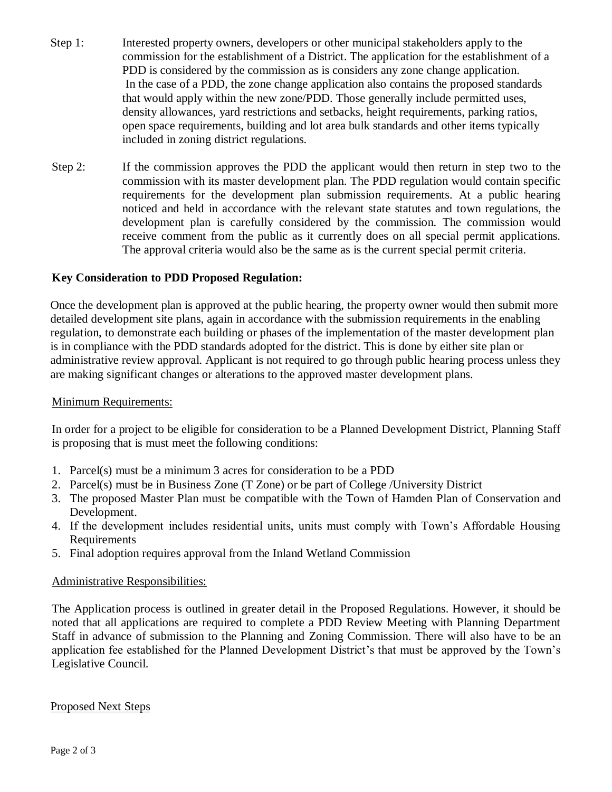- Step 1: Interested property owners, developers or other municipal stakeholders apply to the commission for the establishment of a District. The application for the establishment of a PDD is considered by the commission as is considers any zone change application. In the case of a PDD, the zone change application also contains the proposed standards that would apply within the new zone/PDD. Those generally include permitted uses, density allowances, yard restrictions and setbacks, height requirements, parking ratios, open space requirements, building and lot area bulk standards and other items typically included in zoning district regulations.
- Step 2: If the commission approves the PDD the applicant would then return in step two to the commission with its master development plan. The PDD regulation would contain specific requirements for the development plan submission requirements. At a public hearing noticed and held in accordance with the relevant state statutes and town regulations, the development plan is carefully considered by the commission. The commission would receive comment from the public as it currently does on all special permit applications. The approval criteria would also be the same as is the current special permit criteria.

## **Key Consideration to PDD Proposed Regulation:**

Once the development plan is approved at the public hearing, the property owner would then submit more detailed development site plans, again in accordance with the submission requirements in the enabling regulation, to demonstrate each building or phases of the implementation of the master development plan is in compliance with the PDD standards adopted for the district. This is done by either site plan or administrative review approval. Applicant is not required to go through public hearing process unless they are making significant changes or alterations to the approved master development plans.

#### Minimum Requirements:

In order for a project to be eligible for consideration to be a Planned Development District, Planning Staff is proposing that is must meet the following conditions:

- 1. Parcel(s) must be a minimum 3 acres for consideration to be a PDD
- 2. Parcel(s) must be in Business Zone (T Zone) or be part of College /University District
- 3. The proposed Master Plan must be compatible with the Town of Hamden Plan of Conservation and Development.
- 4. If the development includes residential units, units must comply with Town's Affordable Housing Requirements
- 5. Final adoption requires approval from the Inland Wetland Commission

### Administrative Responsibilities:

The Application process is outlined in greater detail in the Proposed Regulations. However, it should be noted that all applications are required to complete a PDD Review Meeting with Planning Department Staff in advance of submission to the Planning and Zoning Commission. There will also have to be an application fee established for the Planned Development District's that must be approved by the Town's Legislative Council.

#### Proposed Next Steps